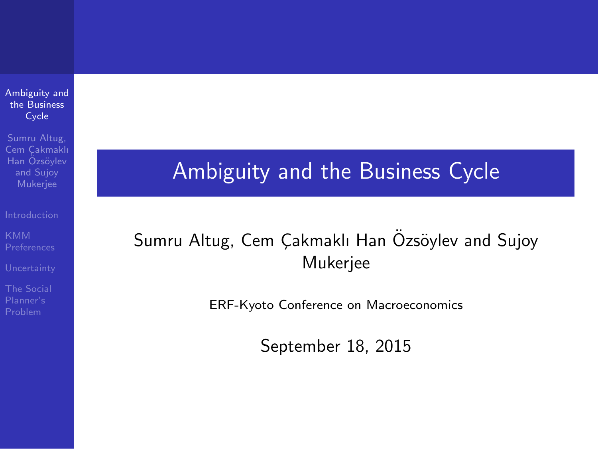Ambiguity and the Business Cycle

Sumru Altug, Cem Cakmaklı Han Özsövlev and Sujoy

### Ambiguity and the Business Cycle

#### Sumru Altug, Cem Çakmaklı Han Özsöylev and Sujoy Mukerjee

ERF-Kyoto Conference on Macroeconomics

September 18, 2015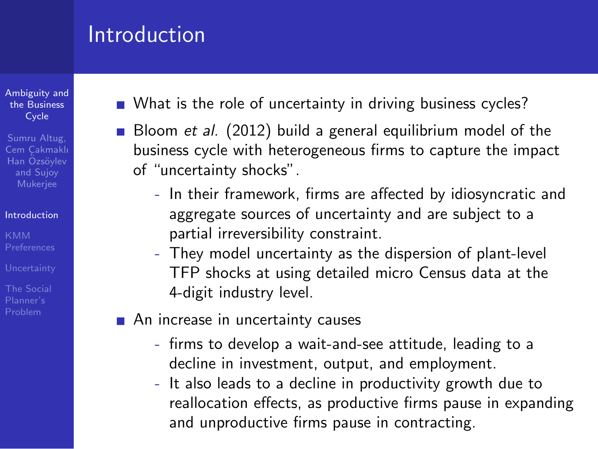#### Introduction

Ambiguity and the **Business** Cycle

Sumru Altug, Cem Cakmaklı Han Özsövlev and Sujoy Mukerjee

#### Introduction

- What is the role of uncertainty in driving business cycles?
- Bloom *et al.* (2012) build a general equilibrium model of the business cycle with heterogeneous firms to capture the impact of "uncertainty shocks".
	- In their framework, firms are affected by idiosyncratic and aggregate sources of uncertainty and are subject to a partial irreversibility constraint.
	- They model uncertainty as the dispersion of plant-level TFP shocks at using detailed micro Census data at the 4-digit industry level.
- An increase in uncertainty causes
	- firms to develop a wait-and-see attitude, leading to a decline in investment, output, and employment.
	- It also leads to a decline in productivity growth due to reallocation effects, as productive firms pause in expanding and unproductive firms pause in contracting.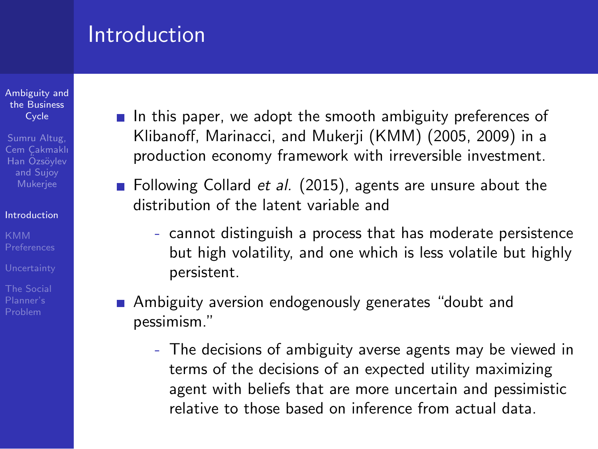#### Introduction

Ambiguity and the **Business** Cycle

Sumru Altug, Cem Cakmaklı Han Özsövlev and Sujoy Mukerjee

#### Introduction

- In this paper, we adopt the smooth ambiguity preferences of Klibanoff, Marinacci, and Mukerji (KMM) (2005, 2009) in a production economy framework with irreversible investment.
- **Following Collard** *et al.* (2015), agents are unsure about the distribution of the latent variable and
	- cannot distinguish a process that has moderate persistence but high volatility, and one which is less volatile but highly persistent.
- **Ambiguity aversion endogenously generates "doubt and** pessimism."
	- The decisions of ambiguity averse agents may be viewed in terms of the decisions of an expected utility maximizing agent with beliefs that are more uncertain and pessimistic relative to those based on inference from actual data.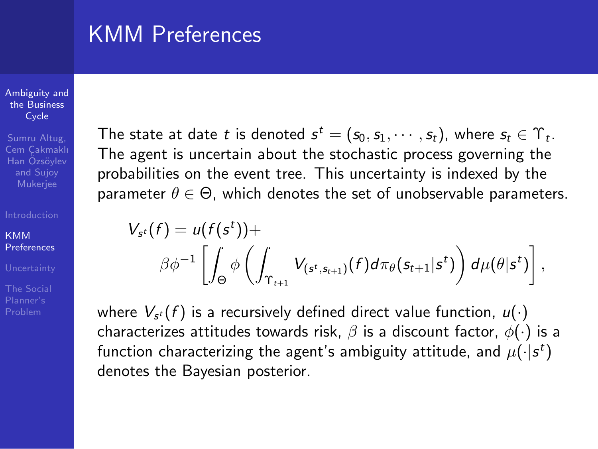### KMM Preferences

*Vs*

#### Ambiguity and the **Business** Cycle

Sumru Altug, Cem Cakmaklı Han Özsövlev and Sujoy Mukerjee

**KMM** Preferences

Problem

The state at date *t* is denoted  $s^t = (s_0, s_1, \cdots, s_t)$ , where  $s_t \in \Upsilon_t$ . The agent is uncertain about the stochastic process governing the probabilities on the event tree. This uncertainty is indexed by the parameter  $\theta \in \Theta$ , which denotes the set of unobservable parameters.

$$
ss(f) = u(f(st)) +
$$
  

$$
\beta \phi^{-1} \left[ \int_{\Theta} \phi \left( \int_{\Upsilon_{t+1}} V_{(st, st+1)}(f) d\pi_{\theta}(s_{t+1}|st) \right) d\mu(\theta|st) \right],
$$

where  $V_{s^t}(f)$  is a recursively defined direct value function,  $u(\cdot)$ characterizes attitudes towards risk, *β* is a discount factor, *ϕ*(*·*) is a function characterizing the agent's ambiguity attitude, and  $\mu(\cdot|\mathsf{s}^t)$ denotes the Bayesian posterior.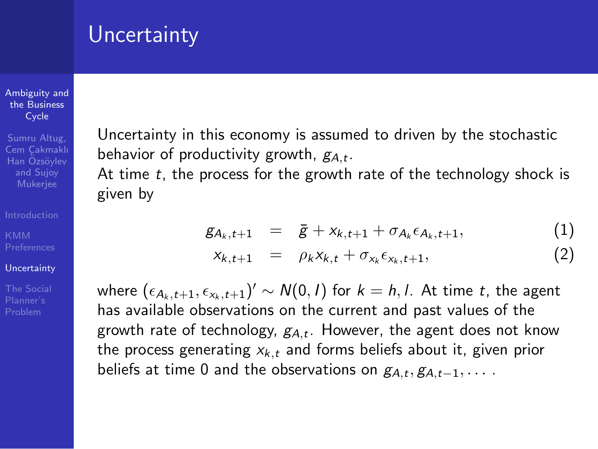### **Uncertainty**

#### Ambiguity and the **Business** Cycle

Sumru Altug, Cem Cakmaklı Han Özsövlev and Sujoy Mukerjee

#### Uncertainty

The Social

Uncertainty in this economy is assumed to driven by the stochastic behavior of productivity growth, *gA,<sup>t</sup>* .

At time *t*, the process for the growth rate of the technology shock is given by

$$
g_{A_k,t+1} = \bar{g} + x_{k,t+1} + \sigma_{A_k} \epsilon_{A_k,t+1}, \qquad (1)
$$

$$
x_{k,t+1} = \rho_k x_{k,t} + \sigma_{x_k} \epsilon_{x_k,t+1}, \qquad (2)
$$

where  $(\epsilon_{A_k,t+1}, \epsilon_{x_k,t+1})' \sim N(0,I)$  for  $k = h, l$ . At time *t*, the agent has available observations on the current and past values of the growth rate of technology, *gA,<sup>t</sup>* . However, the agent does not know the process generating *xk,<sup>t</sup>* and forms beliefs about it, given prior beliefs at time 0 and the observations on  $g_{A,t}, g_{A,t-1}, \ldots$ .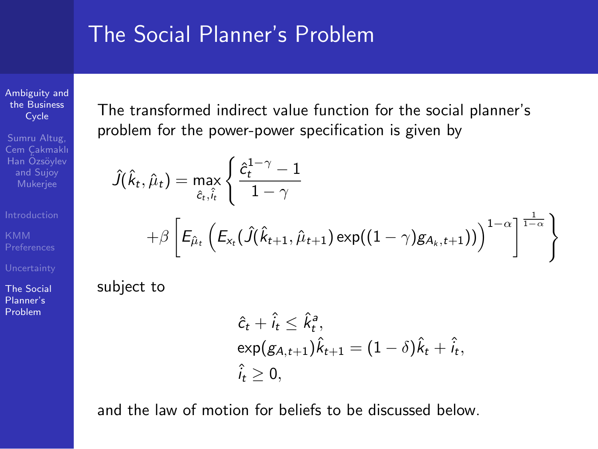#### The Social Planner's Problem

Ambiguity and the **Business** Cycle

Sumru Altug, Cem Cakmaklı Han Özsövlev and Sujoy

The Social Planner's Problem

The transformed indirect value function for the social planner's problem for the power-power specification is given by

$$
\hat{J}(\hat{k}_t, \hat{\mu}_t) = \max_{\hat{c}_t, \hat{i}_t} \left\{ \frac{\hat{c}_t^{1-\gamma} - 1}{1 - \gamma} + \beta \left[ E_{\hat{\mu}_t} \left( E_{x_t} (\hat{J}(\hat{k}_{t+1}, \hat{\mu}_{t+1}) \exp((1 - \gamma) g_{A_k, t+1})) \right)^{1 - \alpha} \right]^{\frac{1}{1 - \alpha}} \right\}
$$

subject to

$$
\hat{c}_t + \hat{i}_t \leq \hat{k}_t^a,
$$
  
\n
$$
\exp(g_{A,t+1})\hat{k}_{t+1} = (1 - \delta)\hat{k}_t + \hat{i}_t,
$$
  
\n
$$
\hat{i}_t \geq 0,
$$

and the law of motion for beliefs to be discussed below.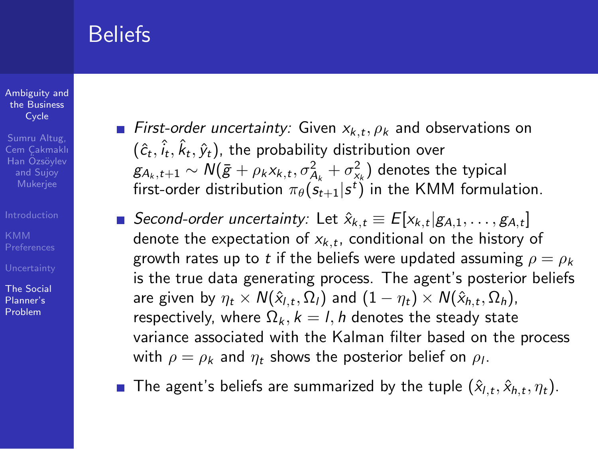### Beliefs

#### Ambiguity and the **Business** Cycle

Sumru Altug, Cem Cakmaklı Han Özsövlev and Sujoy Mukerjee

The Social Planner's Problem

- *First-order uncertainty:* Given  $x_{k,t}, \rho_k$  and observations on  $(\hat{c}_t, \hat{i}_t, \hat{k}_t, \hat{y}_t)$ , the probability distribution over  $g_{A_k,t+1} \sim \mathcal{N}(\bar{g} + \rho_k x_{k,t}, \sigma^2_{A_k} + \sigma^2_{x_k})$  denotes the typical first-order distribution  $\pi_{\theta}(s_{t+1} | s^t)$  in the KMM formulation.
- *Second-order uncertainty:* Let  $\hat{x}_{k,t} \equiv E[x_{k,t} | g_{A,1}, \ldots, g_{A,t}]$ denote the expectation of *xk,<sup>t</sup>* , conditional on the history of growth rates up to *t* if the beliefs were updated assuming  $\rho = \rho_k$ is the true data generating process. The agent's posterior beliefs are given by  $\eta_t \times N(\hat{x}_{l,t}, \Omega_l)$  and  $(1 - \eta_t) \times N(\hat{x}_{h,t}, \Omega_h)$ , respectively, where  $\Omega_k$ ,  $k = l$ , *h* denotes the steady state variance associated with the Kalman filter based on the process with  $\rho=\rho_{\pmb{k}}$  and  $\eta_{\pmb{t}}$  shows the posterior belief on  $\rho_{\pmb{l}}.$
- The agent's beliefs are summarized by the tuple  $(\hat{x}_{l,t}, \hat{x}_{h,t}, \eta_t)$ .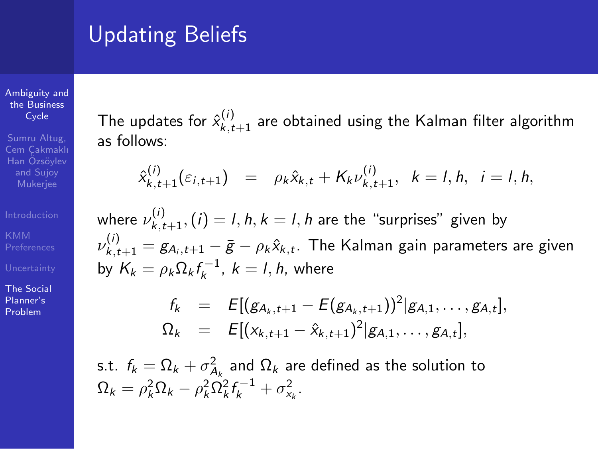# Updating Beliefs

Ambiguity and the Business Cycle

Sumru Altug, Cem Cakmaklı Han Özsövlev and Sujoy Mukerjee

The Social Planner's Problem

The updates for  $\hat{x}_{k,t+1}^{(i)}$  are obtained using the Kalman filter algorithm as follows:

$$
\hat{x}_{k,t+1}^{(i)}(\varepsilon_{i,t+1}) = \rho_k \hat{x}_{k,t} + K_k \nu_{k,t+1}^{(i)}, \quad k = l, h, \quad i = l, h,
$$

where  $\nu_{k,t+1}^{(i)}, (i) = l, h, k = l, h$  are the "surprises" given by  $ν_{k,t+1}^{(i)} = g_{A_i,t+1} - \bar{g} - ρ_k\hat{x}_{k,t}$ . The Kalman gain parameters are given by  $K_k = \rho_k \Omega_k f_k^{-1}$ ,  $k = l, h$ , where

$$
f_k = E[(g_{A_k,t+1} - E(g_{A_k,t+1}))^2 | g_{A,1}, \ldots, g_{A,t}],
$$
  
\n
$$
\Omega_k = E[(x_{k,t+1} - \hat{x}_{k,t+1})^2 | g_{A,1}, \ldots, g_{A,t}],
$$

s.t.  $f_k = \Omega_k + \sigma_{A_k}^2$  and  $\Omega_k$  are defined as the solution to  $\Omega_k = \rho_k^2 \Omega_k - \rho_k^2 \Omega_k^2 f_k^{-1} + \sigma_{x_k}^2$ .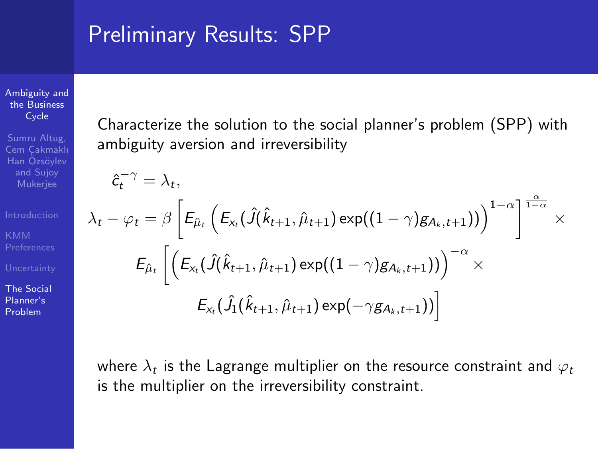### Preliminary Results: SPP

Ambiguity and the Business Cycle

Sumru Altug, Cem Cakmaklı Han Özsövlev and Sujoy Mukerjee

The Social Planner's Problem

Characterize the solution to the social planner's problem (SPP) with ambiguity aversion and irreversibility

$$
\hat{c}_{t}^{-\gamma} = \lambda_{t},
$$
\n
$$
\lambda_{t} - \varphi_{t} = \beta \left[ E_{\hat{\mu}_{t}} \left( E_{x_{t}} (\hat{J}(\hat{k}_{t+1}, \hat{\mu}_{t+1}) \exp((1-\gamma)g_{A_{k}, t+1})) \right)^{1-\alpha} \right]^{\frac{\alpha}{1-\alpha}} \times
$$
\n
$$
E_{\hat{\mu}_{t}} \left[ \left( E_{x_{t}} (\hat{J}(\hat{k}_{t+1}, \hat{\mu}_{t+1}) \exp((1-\gamma)g_{A_{k}, t+1})) \right)^{-\alpha} \times
$$
\n
$$
E_{x_{t}} (\hat{J}_{1}(\hat{k}_{t+1}, \hat{\mu}_{t+1}) \exp(-\gamma g_{A_{k}, t+1})) \right]
$$

where  $\lambda_t$  is the Lagrange multiplier on the resource constraint and  $\varphi_t$ is the multiplier on the irreversibility constraint.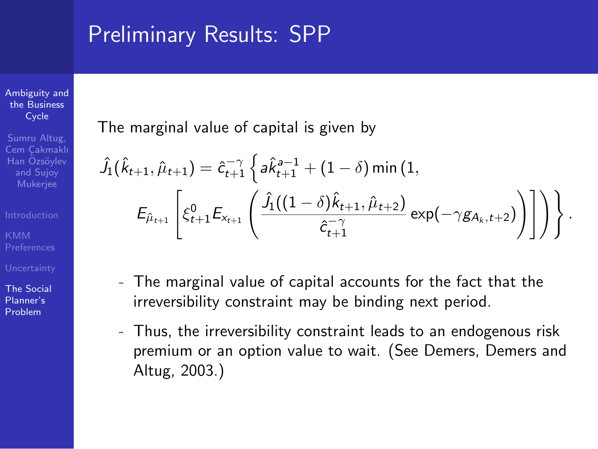### Preliminary Results: SPP

Ambiguity and the **Business** Cycle

Sumru Altug, Cem Cakmaklı Han Özsövlev and Sujoy Mukerjee

The Social

Planner's Problem

The marginal value of capital is given by

$$
\hat{J}_1(\hat{k}_{t+1}, \hat{\mu}_{t+1}) = \hat{c}_{t+1}^{-\gamma} \left\{ a \hat{k}_{t+1}^{a-1} + (1 - \delta) \min(1, \\ E_{\hat{\mu}_{t+1}} \left[ \xi_{t+1}^0 E_{x_{t+1}} \left( \frac{\hat{J}_1((1 - \delta) \hat{k}_{t+1}, \hat{\mu}_{t+2})}{\hat{c}_{t+1}^{-\gamma}} \exp(-\gamma g_{A_k, t+2}) \right) \right] \right) \right\}.
$$

- The marginal value of capital accounts for the fact that the irreversibility constraint may be binding next period.
- Thus, the irreversibility constraint leads to an endogenous risk premium or an option value to wait. (See Demers, Demers and Altug, 2003.)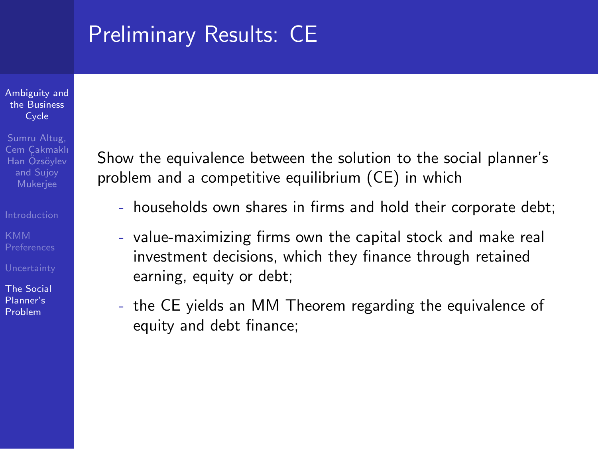# Preliminary Results: CE

#### Ambiguity and the **Business** Cycle

Sumru Altug, Cem Cakmaklı Han Özsövlev and Sujoy Mukerjee

The Social Planner's Problem

Show the equivalence between the solution to the social planner's problem and a competitive equilibrium (CE) in which

- households own shares in firms and hold their corporate debt;
- value-maximizing firms own the capital stock and make real investment decisions, which they finance through retained earning, equity or debt;
- the CE yields an MM Theorem regarding the equivalence of equity and debt finance;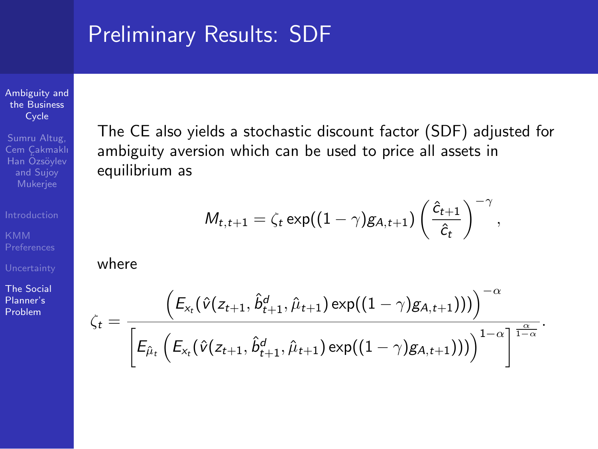### Preliminary Results: SDF

Ambiguity and the Business Cycle

Sumru Altug, Cem Cakmaklı Han Özsövlev and Sujoy

The Social Planner's Problem

The CE also yields a stochastic discount factor (SDF) adjusted for ambiguity aversion which can be used to price all assets in equilibrium as

$$
M_{t,t+1} = \zeta_t \exp((1-\gamma)g_{A,t+1})\left(\frac{\hat{c}_{t+1}}{\hat{c}_t}\right)^{-\gamma},
$$

where

$$
\zeta_t = \frac{\left(E_{x_t}(\hat{v}(z_{t+1}, \hat{b}^d_{t+1}, \hat{\mu}_{t+1}) \exp((1-\gamma)g_{A,t+1})))\right)^{-\alpha}}{\left[E_{\hat{\mu}_t}\left(E_{x_t}(\hat{v}(z_{t+1}, \hat{b}^d_{t+1}, \hat{\mu}_{t+1}) \exp((1-\gamma)g_{A,t+1})))\right)^{1-\alpha}\right]^{\frac{\alpha}{1-\alpha}}}.
$$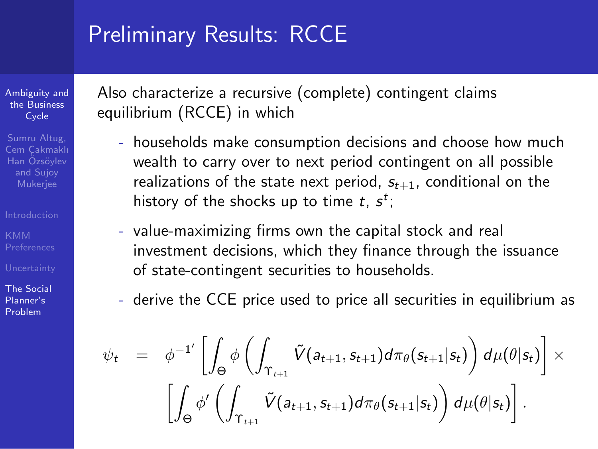### Preliminary Results: RCCE

Ambiguity and the Business Cycle

Sumru Altug, Cem Cakmaklı Han Özsövlev and Sujoy Mukerjee

The Social Planner's Problem

Also characterize a recursive (complete) contingent claims equilibrium (RCCE) in which

- households make consumption decisions and choose how much wealth to carry over to next period contingent on all possible realizations of the state next period,  $s_{t+1}$ , conditional on the history of the shocks up to time *t*, *s t* ;
- value-maximizing firms own the capital stock and real investment decisions, which they finance through the issuance of state-contingent securities to households.
- derive the CCE price used to price all securities in equilibrium as

$$
\psi_t = \phi^{-1'} \left[ \int_{\Theta} \phi \left( \int_{\Upsilon_{t+1}} \tilde{V}(a_{t+1}, s_{t+1}) d\pi_{\theta}(s_{t+1}|s_t) \right) d\mu(\theta|s_t) \right] \times \left[ \int_{\Theta} \phi' \left( \int_{\Upsilon_{t+1}} \tilde{V}(a_{t+1}, s_{t+1}) d\pi_{\theta}(s_{t+1}|s_t) \right) d\mu(\theta|s_t) \right].
$$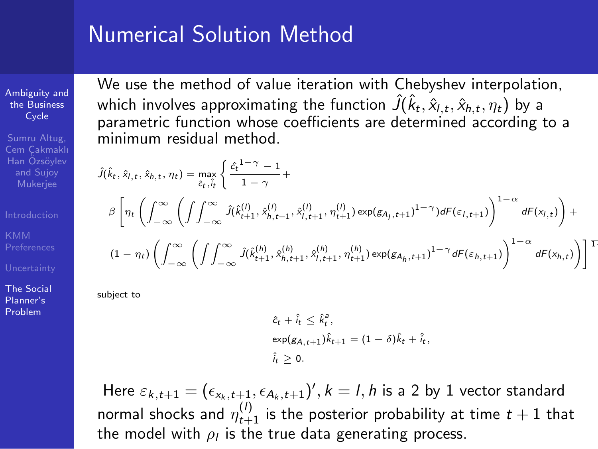#### Numerical Solution Method

Ambiguity and the **Business** Cycle

Sumru Altug, Cem Cakmaklı Han Özsövlev and Sujoy Mukerjee

The Social Planner's Problem

We use the method of value iteration with Chebyshev interpolation, which involves approximating the function  $\hat{J}(\hat{k}_t,\hat{x}_{l,t},\hat{x}_{h,t},\eta_t)$  by a parametric function whose coefficients are determined according to a minimum residual method.

$$
\begin{split} \hat{J}(\hat{k}_t,\hat{x}_{l,t},\hat{x}_{h,t},\eta_t) &= \max_{\hat{\varepsilon}_t,\hat{i}_t} \left\{ \frac{\hat{c}_t^{1-\gamma}-1}{1-\gamma} + \\ \beta \left[ \eta_t \left( \int_{-\infty}^{\infty} \left( \int \int_{-\infty}^{\infty} \hat{J}(\hat{k}_{t+1}^{(l)},\hat{x}_{h,t+1}^{(l)},\hat{x}_{l,t+1}^{(l)},\eta_{t+1}^{(l)}) \exp(\mathbf{g}_{A_l,t+1})^{1-\gamma}) dF(\varepsilon_{l,t+1}) \right)^{1-\alpha} dF(x_{l,t}) \right) + \\ & (1-\eta_t) \left( \int_{-\infty}^{\infty} \left( \int \int_{-\infty}^{\infty} \hat{J}(\hat{k}_{t+1}^{(h)},\hat{x}_{h,t+1}^{(h)},\hat{x}_{l,t+1}^{(h)},\eta_{t+1}^{(h)}) \exp(\mathbf{g}_{A_h,t+1})^{1-\gamma} dF(\varepsilon_{h,t+1}) \right)^{1-\alpha} dF(x_{h,t}) \right) \right]^\mathrm{T} \end{split}
$$

subject to

$$
\hat{c}_t + \hat{i}_t \leq \hat{k}_t^a,
$$
  
\n
$$
\exp(g_{A,t+1})\hat{k}_{t+1} = (1 - \delta)\hat{k}_t + \hat{i}_t,
$$
  
\n
$$
\hat{i}_t \geq 0.
$$

 $\textsf{Here} \; \varepsilon_{k,t+1} = (\epsilon_{x_k,t+1}, \epsilon_{A_k,t+1})', k = l, h \; \text{is a 2 by 1 vector standard}$ normal shocks and  $\eta_{t+1}^{(l)}$  is the posterior probability at time  $t+1$  that the model with  $\rho_I$  is the true data generating process.